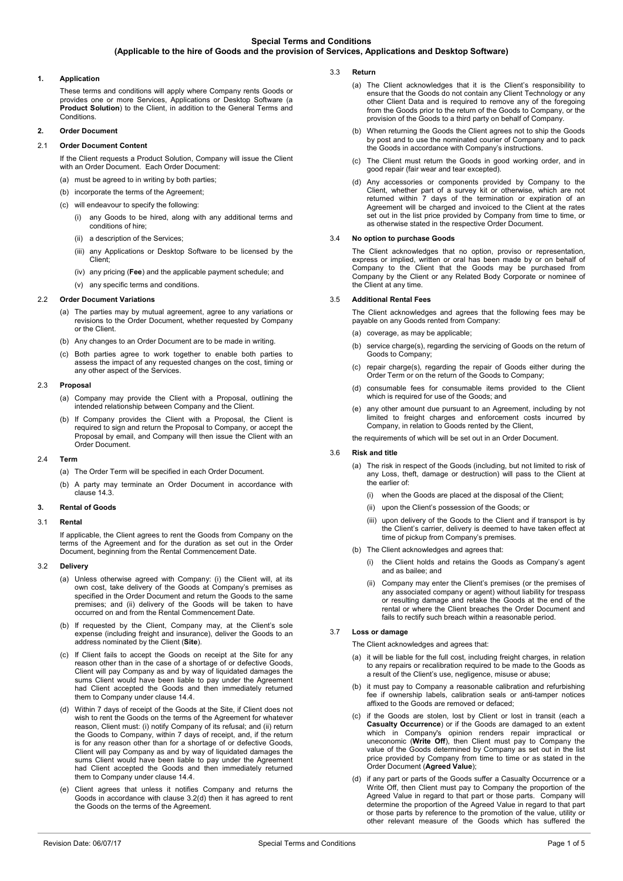# **1. Application**

These terms and conditions will apply where Company rents Goods or provides one or more Services, Applications or Desktop Software (a **Product Solution**) to the Client, in addition to the General Terms and Conditions.

# **2. Order Document**

# 2.1 **Order Document Content**

If the Client requests a Product Solution, Company will issue the Client with an Order Document. Each Order Document:

- (a) must be agreed to in writing by both parties;
- (b) incorporate the terms of the Agreement
- (c) will endeavour to specify the following:
	- (i) any Goods to be hired, along with any additional terms and conditions of hire;
	- (ii) a description of the Services;
	- (iii) any Applications or Desktop Software to be licensed by the Client;
	- (iv) any pricing (**Fee**) and the applicable payment schedule; and
	- (v) any specific terms and conditions.

# 2.2 **Order Document Variations**

- (a) The parties may by mutual agreement, agree to any variations or revisions to the Order Document, whether requested by Company or the Client.
- (b) Any changes to an Order Document are to be made in writing.
- (c) Both parties agree to work together to enable both parties to assess the impact of any requested changes on the cost, timing or any other aspect of the Services.

## 2.3 **Proposal**

- (a) Company may provide the Client with a Proposal, outlining the intended relationship between Company and the Client.
- (b) If Company provides the Client with a Proposal, the Client is required to sign and return the Proposal to Company, or accept the Proposal by email, and Company will then issue the Client with an Order Document.

## 2.4 **Term**

- (a) The Order Term will be specified in each Order Document.
- (b) A party may terminate an Order Document in accordance with clause [14.3.](#page-3-0)

# **3. Rental of Goods**

## 3.1 **Rental**

If applicable, the Client agrees to rent the Goods from Company on the terms of the Agreement and for the duration as set out in the Order Document, beginning from the Rental Commencement Date.

## 3.2 **Delivery**

- (a) Unless otherwise agreed with Company: (i) the Client will, at its own cost, take delivery of the Goods at Company's premises as specified in the Order Document and return the Goods to the same premises; and (ii) delivery of the Goods will be taken to have occurred on and from the Rental Commencement Date.
- (b) If requested by the Client, Company may, at the Client's sole expense (including freight and insurance), deliver the Goods to an address nominated by the Client (**Site**).
- (c) If Client fails to accept the Goods on receipt at the Site for any reason other than in the case of a shortage of or defective Goods, Client will pay Company as and by way of liquidated damages the sums Client would have been liable to pay under the Agreement had Client accepted the Goods and then immediately returned them to Company under clause [14.4.](#page-3-1)
- <span id="page-0-0"></span>(d) Within 7 days of receipt of the Goods at the Site, if Client does not wish to rent the Goods on the terms of the Agreement for whatever reason, Client must: (i) notify Company of its refusal; and (ii) return the Goods to Company, within 7 days of receipt, and, if the return is for any reason other than for a shortage of or defective Goods, Client will pay Company as and by way of liquidated damages the sums Client would have been liable to pay under the Agreement had Client accepted the Goods and then immediately returned them to Company under claus[e 14.4.](#page-3-1)
- (e) Client agrees that unless it notifies Company and returns the Goods in accordance with clause [3.2\(d\)](#page-0-0) then it has agreed to rent the Goods on the terms of the Agreement.
- 3.3 **Return** 
	- (a) The Client acknowledges that it is the Client's responsibility to ensure that the Goods do not contain any Client Technology or any other Client Data and is required to remove any of the foregoing from the Goods prior to the return of the Goods to Company, or the provision of the Goods to a third party on behalf of Company.
	- (b) When returning the Goods the Client agrees not to ship the Goods by post and to use the nominated courier of Company and to pack the Goods in accordance with Company's instructions.
	- (c) The Client must return the Goods in good working order, and in good repair (fair wear and tear excepted).
	- (d) Any accessories or components provided by Company to the Client, whether part of a survey kit or otherwise, which are not returned within 7 days of the termination or expiration of an Agreement will be charged and invoiced to the Client at the rates set out in the list price provided by Company from time to time, or as otherwise stated in the respective Order Document.

# <span id="page-0-3"></span>3.4 **No option to purchase Goods**

The Client acknowledges that no option, proviso or representation, express or implied, written or oral has been made by or on behalf of Company to the Client that the Goods may be purchased from Company by the Client or any Related Body Corporate or nominee of the Client at any time.

# 3.5 **Additional Rental Fees**

The Client acknowledges and agrees that the following fees may be payable on any Goods rented from Company:

- (a) coverage, as may be applicable:
- (b) service charge(s), regarding the servicing of Goods on the return of Goods to Company;
- (c) repair charge(s), regarding the repair of Goods either during the Order Term or on the return of the Goods to Company;
- (d) consumable fees for consumable items provided to the Client which is required for use of the Goods; and
- (e) any other amount due pursuant to an Agreement, including by not limited to freight charges and enforcement costs incurred by Company, in relation to Goods rented by the Client,

the requirements of which will be set out in an Order Document.

## 3.6 **Risk and title**

- (a) The risk in respect of the Goods (including, but not limited to risk of any Loss, theft, damage or destruction) will pass to the Client at the earlier of:
	- (i) when the Goods are placed at the disposal of the Client;
	- (ii) upon the Client's possession of the Goods; or
	- (iii) upon delivery of the Goods to the Client and if transport is by the Client's carrier, delivery is deemed to have taken effect at time of pickup from Company's premises.
- (b) The Client acknowledges and agrees that:
	- (i) the Client holds and retains the Goods as Company's agent and as bailee; and
	- Company may enter the Client's premises (or the premises of any associated company or agent) without liability for trespass or resulting damage and retake the Goods at the end of the rental or where the Client breaches the Order Document and fails to rectify such breach within a reasonable period.

# 3.7 **Loss or damage**

The Client acknowledges and agrees that:

- (a) it will be liable for the full cost, including freight charges, in relation to any repairs or recalibration required to be made to the Goods as a result of the Client's use, negligence, misuse or abuse;
- (b) it must pay to Company a reasonable calibration and refurbishing fee if ownership labels, calibration seals or anti-tamper notices affixed to the Goods are removed or defaced;
- <span id="page-0-1"></span>(c) if the Goods are stolen, lost by Client or lost in transit (each a **Casualty Occurrence**) or if the Goods are damaged to an extent which in Company's opinion renders repair impractical or uneconomic (**Write Off**), then Client must pay to Company the value of the Goods determined by Company as set out in the list price provided by Company from time to time or as stated in the Order Document (**Agreed Value**);
- <span id="page-0-2"></span>(d) if any part or parts of the Goods suffer a Casualty Occurrence or a Write Off, then Client must pay to Company the proportion of the Agreed Value in regard to that part or those parts. Company will determine the proportion of the Agreed Value in regard to that part or those parts by reference to the promotion of the value, utility or other relevant measure of the Goods which has suffered the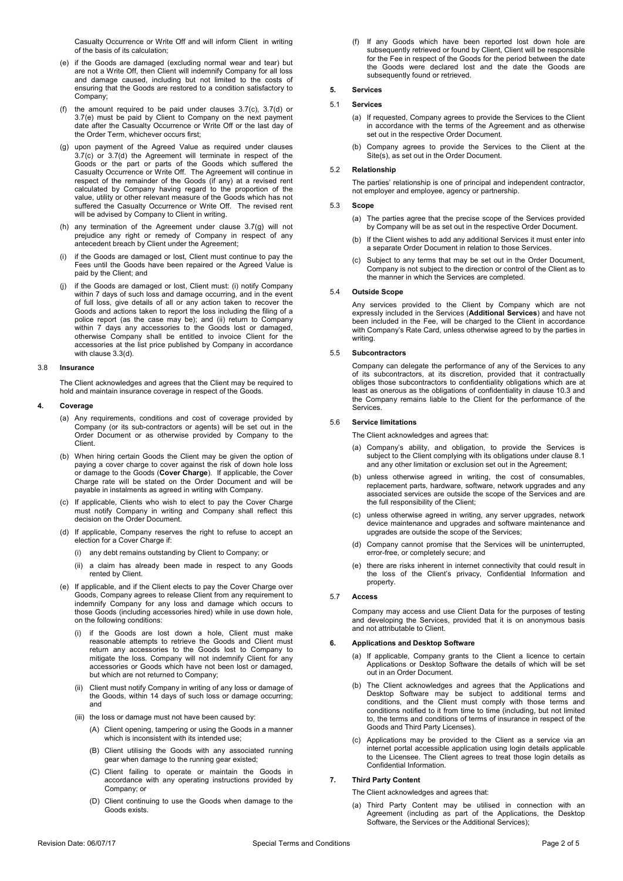Casualty Occurrence or Write Off and will inform Client in writing of the basis of its calculation;

- <span id="page-1-0"></span>(e) if the Goods are damaged (excluding normal wear and tear) but are not a Write Off, then Client will indemnify Company for all loss and damage caused, including but not limited to the costs of ensuring that the Goods are restored to a condition satisfactory to Company;
- (f) the amount required to be paid under clauses [3.7\(c\),](#page-0-1) [3.7\(d\)](#page-0-2) or [3.7\(e\)](#page-1-0) must be paid by Client to Company on the next payment date after the Casualty Occurrence or Write Off or the last day of the Order Term, whichever occurs first;
- <span id="page-1-1"></span>(g) upon payment of the Agreed Value as required under clauses [3.7\(c\)](#page-0-1) or [3.7\(d\)](#page-0-2) the Agreement will terminate in respect of the Goods or the part or parts of the Goods which suffered the Casualty Occurrence or Write Off. The Agreement will continue in respect of the remainder of the Goods (if any) at a revised rent calculated by Company having regard to the proportion of the value, utility or other relevant measure of the Goods which has not suffered the Casualty Occurrence or Write Off. The revised rent will be advised by Company to Client in writing.
- (h) any termination of the Agreement under clause [3.7\(g\)](#page-1-1) will not prejudice any right or remedy of Company in respect of any antecedent breach by Client under the Agreement;
- (i) if the Goods are damaged or lost, Client must continue to pay the Fees until the Goods have been repaired or the Agreed Value is paid by the Client; and
- <span id="page-1-2"></span>(j) if the Goods are damaged or lost, Client must: (i) notify Company within 7 days of such loss and damage occurring, and in the event of full loss, give details of all or any action taken to recover the Goods and actions taken to report the loss including the filing of a police report (as the case may be); and (ii) return to Company within 7 days any accessories to the Goods lost or damaged, otherwise Company shall be entitled to invoice Client for the accessories at the list price published by Company in accordance with clause [3.3\(d\).](#page-0-3)

#### 3.8 **Insurance**

The Client acknowledges and agrees that the Client may be required to hold and maintain insurance coverage in respect of the Goods.

# **4. Coverage**

- (a) Any requirements, conditions and cost of coverage provided by Company (or its sub-contractors or agents) will be set out in the Order Document or as otherwise provided by Company to the **Client**
- (b) When hiring certain Goods the Client may be given the option of paying a cover charge to cover against the risk of down hole loss or damage to the Goods (**Cover Charge**). If applicable, the Cover Charge rate will be stated on the Order Document and will be payable in instalments as agreed in writing with Company.
- (c) If applicable, Clients who wish to elect to pay the Cover Charge must notify Company in writing and Company shall reflect this decision on the Order Document.
- (d) If applicable, Company reserves the right to refuse to accept an election for a Cover Charge if:
	- (i) any debt remains outstanding by Client to Company; or
	- (ii) a claim has already been made in respect to any Goods rented by Client.
- (e) If applicable, and if the Client elects to pay the Cover Charge over Goods, Company agrees to release Client from any requirement to indemnify Company for any loss and damage which occurs to those Goods (including accessories hired) while in use down hole, on the following conditions:
	- (i) if the Goods are lost down a hole, Client must make reasonable attempts to retrieve the Goods and Client must return any accessories to the Goods lost to Company to mitigate the loss. Company will not indemnify Client for any accessories or Goods which have not been lost or damaged, but which are not returned to Company;
	- (ii) Client must notify Company in writing of any loss or damage of the Goods, within 14 days of such loss or damage occurring; and
	- (iii) the loss or damage must not have been caused by:
		- (A) Client opening, tampering or using the Goods in a manner which is inconsistent with its intended use:
		- (B) Client utilising the Goods with any associated running gear when damage to the running gear existed;
		- (C) Client failing to operate or maintain the Goods in accordance with any operating instructions provided by Company; or
		- (D) Client continuing to use the Goods when damage to the Goods exists.

(f) If any Goods which have been reported lost down hole are subsequently retrieved or found by Client, Client will be responsible for the Fee in respect of the Goods for the period between the date the Goods were declared lost and the date the Goods are subsequently found or retrieved.

# **5. Services**

# 5.1 **Services**

- (a) If requested, Company agrees to provide the Services to the Client in accordance with the terms of the Agreement and as otherwise set out in the respective Order Document.
- (b) Company agrees to provide the Services to the Client at the Site(s), as set out in the Order Document.

# 5.2 **Relationship**

The parties' relationship is one of principal and independent contractor, not employer and employee, agency or partnership.

# 5.3 **Scope**

- (a) The parties agree that the precise scope of the Services provided by Company will be as set out in the respective Order Document.
- (b) If the Client wishes to add any additional Services it must enter into a separate Order Document in relation to those Services.
- (c) Subject to any terms that may be set out in the Order Document, Company is not subject to the direction or control of the Client as to the manner in which the Services are completed.

# 5.4 **Outside Scope**

Any services provided to the Client by Company which are not expressly included in the Services (**Additional Services**) and have not been included in the Fee, will be charged to the Client in accordance with Company's Rate Card, unless otherwise agreed to by the parties in writing.

## 5.5 **Subcontractors**

Company can delegate the performance of any of the Services to any of its subcontractors, at its discretion, provided that it contractually obliges those subcontractors to confidentiality obligations which are at least as onerous as the obligations of confidentiality in claus[e 10.3](#page-2-0) and the Company remains liable to the Client for the performance of the Services.

## 5.6 **Service limitations**

The Client acknowledges and agrees that:

- (a) Company's ability, and obligation, to provide the Services is subject to the Client complying with its obligations under claus[e 8.1](#page-2-1) and any other limitation or exclusion set out in the Agreement;
- (b) unless otherwise agreed in writing, the cost of consumables, replacement parts, hardware, software, network upgrades and any associated services are outside the scope of the Services and are the full responsibility of the Client;
- (c) unless otherwise agreed in writing, any server upgrades, network device maintenance and upgrades and software maintenance and upgrades are outside the scope of the Services;
- (d) Company cannot promise that the Services will be uninterrupted, error-free, or completely secure; and
- (e) there are risks inherent in internet connectivity that could result in the loss of the Client's privacy, Confidential Information and property.

# 5.7 **Access**

Company may access and use Client Data for the purposes of testing and developing the Services, provided that it is on anonymous basis and not attributable to Client.

#### **6. Applications and Desktop Software**

- (a) If applicable, Company grants to the Client a licence to certain Applications or Desktop Software the details of which will be set out in an Order Document.
- (b) The Client acknowledges and agrees that the Applications and Desktop Software may be subject to additional terms and conditions, and the Client must comply with those terms and conditions notified to it from time to time (including, but not limited to, the terms and conditions of terms of insurance in respect of the Goods and Third Party Licenses).
- (c) Applications may be provided to the Client as a service via an internet portal accessible application using login details applicable to the Licensee. The Client agrees to treat those login details as Confidential Information.

# **7. Third Party Content**

The Client acknowledges and agrees that:

(a) Third Party Content may be utilised in connection with an Agreement (including as part of the Applications, the Desktop Software, the Services or the Additional Services);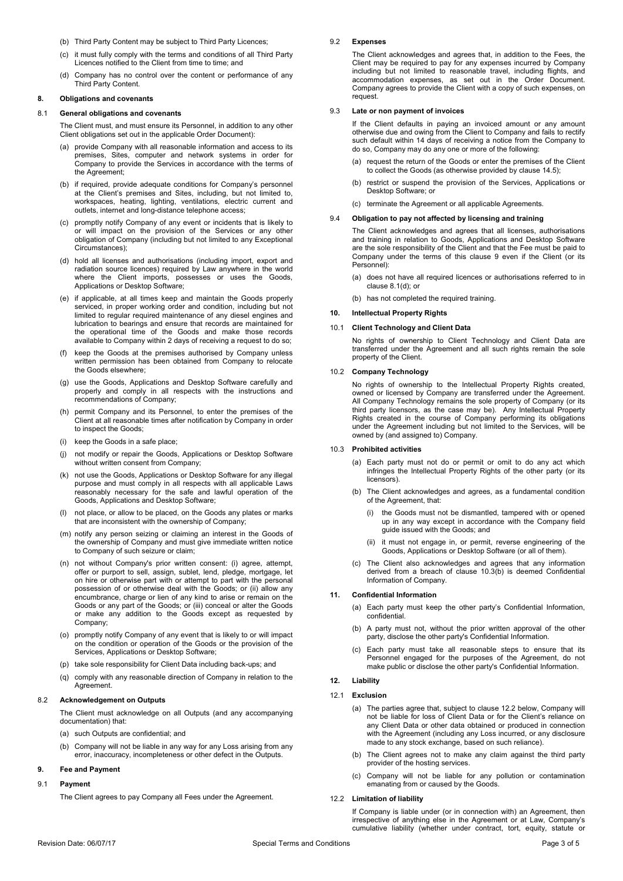- (b) Third Party Content may be subject to Third Party Licences;
- (c) it must fully comply with the terms and conditions of all Third Party Licences notified to the Client from time to time; and
- (d) Company has no control over the content or performance of any Third Party Content.

## **8. Obligations and covenants**

#### <span id="page-2-1"></span>8.1 **General obligations and covenants**

The Client must, and must ensure its Personnel, in addition to any other Client obligations set out in the applicable Order Document):

- provide Company with all reasonable information and access to its premises, Sites, computer and network systems in order for Company to provide the Services in accordance with the terms of the Agreement;
- (b) if required, provide adequate conditions for Company's personnel at the Client's premises and Sites, including, but not limited to, workspaces, heating, lighting, ventilations, electric current and outlets, internet and long-distance telephone access;
- (c) promptly notify Company of any event or incidents that is likely to or will impact on the provision of the Services or any other obligation of Company (including but not limited to any Exceptional Circumstances);
- <span id="page-2-3"></span>(d) hold all licenses and authorisations (including import, export and radiation source licences) required by Law anywhere in the world where the Client imports, possesses or uses the Goods, Applications or Desktop Software;
- <span id="page-2-6"></span>(e) if applicable, at all times keep and maintain the Goods properly serviced, in proper working order and condition, including but not limited to regular required maintenance of any diesel engines and lubrication to bearings and ensure that records are maintained for the operational time of the Goods and make those records available to Company within 2 days of receiving a request to do so;
- (f) keep the Goods at the premises authorised by Company unless written permission has been obtained from Company to relocate the Goods elsewhere;
- (g) use the Goods, Applications and Desktop Software carefully and properly and comply in all respects with the instructions and recommendations of Company;
- (h) permit Company and its Personnel, to enter the premises of the Client at all reasonable times after notification by Company in order to inspect the Goods;
- (i) keep the Goods in a safe place;
- (j) not modify or repair the Goods, Applications or Desktop Software without written consent from Company;
- (k) not use the Goods, Applications or Desktop Software for any illegal purpose and must comply in all respects with all applicable Laws reasonably necessary for the safe and lawful operation of the Goods, Applications and Desktop Software;
- (l) not place, or allow to be placed, on the Goods any plates or marks that are inconsistent with the ownership of Company;
- (m) notify any person seizing or claiming an interest in the Goods of the ownership of Company and must give immediate written notice to Company of such seizure or claim;
- (n) not without Company's prior written consent: (i) agree, attempt, offer or purport to sell, assign, sublet, lend, pledge, mortgage, let on hire or otherwise part with or attempt to part with the personal possession of or otherwise deal with the Goods; or (ii) allow any encumbrance, charge or lien of any kind to arise or remain on the Goods or any part of the Goods; or (iii) conceal or alter the Goods or make any addition to the Goods except as requested by Company;
- (o) promptly notify Company of any event that is likely to or will impact on the condition or operation of the Goods or the provision of the Services, Applications or Desktop Software;
- (p) take sole responsibility for Client Data including back-ups; and
- (q) comply with any reasonable direction of Company in relation to the **Agreement**

## 8.2 **Acknowledgement on Outputs**

The Client must acknowledge on all Outputs (and any accompanying documentation) that:

- (a) such Outputs are confidential; and
- (b) Company will not be liable in any way for any Loss arising from any error, inaccuracy, incompleteness or other defect in the Outputs.

# <span id="page-2-2"></span>**9. Fee and Payment**

# 9.1 **Payment**

The Client agrees to pay Company all Fees under the Agreement.

# 9.2 **Expenses**

The Client acknowledges and agrees that, in addition to the Fees, the Client may be required to pay for any expenses incurred by Company including but not limited to reasonable travel, including flights, and accommodation expenses, as set out in the Order Document. Company agrees to provide the Client with a copy of such expenses, on request.

# <span id="page-2-5"></span>9.3 **Late or non payment of invoices**

If the Client defaults in paying an invoiced amount or any amount otherwise due and owing from the Client to Company and fails to rectify such default within 14 days of receiving a notice from the Company to do so, Company may do any one or more of the following:

- (a) request the return of the Goods or enter the premises of the Client to collect the Goods (as otherwise provided by claus[e 14.5\)](#page-3-2);
- (b) restrict or suspend the provision of the Services, Applications or Desktop Software; or
- (c) terminate the Agreement or all applicable Agreements.

#### 9.4 **Obligation to pay not affected by licensing and training**

The Client acknowledges and agrees that all licenses, authorisations and training in relation to Goods, Applications and Desktop Software are the sole responsibility of the Client and that the Fee must be paid to Company under the terms of this clause [9](#page-2-2) even if the Client (or its Personnel):

- (a) does not have all required licences or authorisations referred to in clause [8.1\(d\);](#page-2-3) or
- (b) has not completed the required training.

# <span id="page-2-7"></span>**10. Intellectual Property Rights**

## 10.1 **Client Technology and Client Data**

No rights of ownership to Client Technology and Client Data are transferred under the Agreement and all such rights remain the sole property of the Client.

## 10.2 **Company Technology**

No rights of ownership to the Intellectual Property Rights created, owned or licensed by Company are transferred under the Agreement. All Company Technology remains the sole property of Company (or its third party licensors, as the case may be). Any Intellectual Property Rights created in the course of Company performing its obligations under the Agreement including but not limited to the Services, will be owned by (and assigned to) Company.

# <span id="page-2-0"></span>10.3 **Prohibited activities**

- (a) Each party must not do or permit or omit to do any act which infringes the Intellectual Property Rights of the other party (or its licensors).
- <span id="page-2-4"></span>(b) The Client acknowledges and agrees, as a fundamental condition of the Agreement, that:
	- (i) the Goods must not be dismantled, tampered with or opened up in any way except in accordance with the Company field guide issued with the Goods; and
	- (ii) it must not engage in, or permit, reverse engineering of the Goods, Applications or Desktop Software (or all of them).
- (c) The Client also acknowledges and agrees that any information derived from a breach of clause [10.3\(b\)](#page-2-4) is deemed Confidential Information of Company.

## **11. Confidential Information**

- (a) Each party must keep the other party's Confidential Information, confidential.
- (b) A party must not, without the prior written approval of the other party, disclose the other party's Confidential Information.
- (c) Each party must take all reasonable steps to ensure that its Personnel engaged for the purposes of the Agreement, do not make public or disclose the other party's Confidential Information.

# <span id="page-2-8"></span>**12. Liability**

# 12.1 **Exclusion**

- (a) The parties agree that, subject to clause 12.2 below, Company will not be liable for loss of Client Data or for the Client's reliance on any Client Data or other data obtained or produced in connection with the Agreement (including any Loss incurred, or any disclosure made to any stock exchange, based on such reliance).
- (b) The Client agrees not to make any claim against the third party provider of the hosting services.
- (c) Company will not be liable for any pollution or contamination emanating from or caused by the Goods.

# 12.2 **Limitation of liability**

If Company is liable under (or in connection with) an Agreement, then irrespective of anything else in the Agreement or at Law, Company's cumulative liability (whether under contract, tort, equity, statute or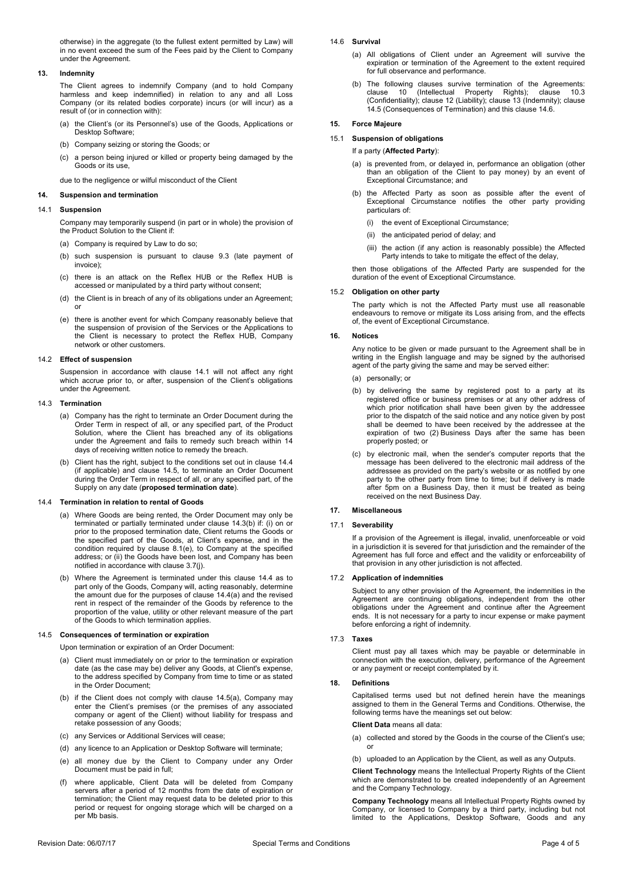otherwise) in the aggregate (to the fullest extent permitted by Law) will in no event exceed the sum of the Fees paid by the Client to Company under the Agreement.

# <span id="page-3-7"></span>**13. Indemnity**

The Client agrees to indemnify Company (and to hold Company harmless and keep indemnified) in relation to any and all Loss Company (or its related bodies corporate) incurs (or will incur) as a result of (or in connection with):

- (a) the Client's (or its Personnel's) use of the Goods, Applications or Desktop Software;
- (b) Company seizing or storing the Goods; or
- (c) a person being injured or killed or property being damaged by the Goods or its use,

due to the negligence or wilful misconduct of the Client

#### **14. Suspension and termination**

#### <span id="page-3-3"></span>14.1 **Suspension**

Company may temporarily suspend (in part or in whole) the provision of the Product Solution to the Client if:

- (a) Company is required by Law to do so;
- (b) such suspension is pursuant to clause [9.3](#page-2-5) (late payment of invoice);
- (c) there is an attack on the Reflex HUB or the Reflex HUB is accessed or manipulated by a third party without consent;
- (d) the Client is in breach of any of its obligations under an Agreement; or
- (e) there is another event for which Company reasonably believe that the suspension of provision of the Services or the Applications to the Client is necessary to protect the Reflex HUB, Company network or other customers.

## 14.2 **Effect of suspension**

Suspension in accordance with clause [14.1](#page-3-3) will not affect any right which accrue prior to, or after, suspension of the Client's obligations under the Agreement.

#### <span id="page-3-0"></span>14.3 **Termination**

- (a) Company has the right to terminate an Order Document during the Order Term in respect of all, or any specified part, of the Product Solution, where the Client has breached any of its obligations under the Agreement and fails to remedy such breach within 14 days of receiving written notice to remedy the breach.
- <span id="page-3-4"></span>(b) Client has the right, subject to the conditions set out in clause [14.4](#page-3-1) (if applicable) and clause [14.5,](#page-3-2) to terminate an Order Document during the Order Term in respect of all, or any specified part, of the Supply on any date (**proposed termination date**).

## <span id="page-3-5"></span><span id="page-3-1"></span>14.4 **Termination in relation to rental of Goods**

- (a) Where Goods are being rented, the Order Document may only be terminated or partially terminated under claus[e 14.3\(b\)](#page-3-4) if: (i) on or prior to the proposed termination date, Client returns the Goods or the specified part of the Goods, at Client's expense, and in the condition required by clause [8.1\(e\),](#page-2-6) to Company at the specified address; or (ii) the Goods have been lost, and Company has been notified in accordance with clause [3.7\(j\).](#page-1-2)
- (b) Where the Agreement is terminated under this clause [14.4](#page-3-1) as to part only of the Goods, Company will, acting reasonably, determine the amount due for the purposes of clause [14.4\(a\)](#page-3-5) and the revised rent in respect of the remainder of the Goods by reference to the proportion of the value, utility or other relevant measure of the part of the Goods to which termination applies.

## <span id="page-3-6"></span><span id="page-3-2"></span>14.5 **Consequences of termination or expiration**

Upon termination or expiration of an Order Document:

- (a) Client must immediately on or prior to the termination or expiration date (as the case may be) deliver any Goods, at Client's expense, to the address specified by Company from time to time or as stated in the Order Document;
- (b) if the Client does not comply with clause [14.5\(a\),](#page-3-6) Company may enter the Client's premises (or the premises of any associated company or agent of the Client) without liability for trespass and retake possession of any Goods;
- (c) any Services or Additional Services will cease;
- (d) any licence to an Application or Desktop Software will terminate;
- (e) all money due by the Client to Company under any Order Document must be paid in full;
- (f) where applicable, Client Data will be deleted from Company servers after a period of 12 months from the date of expiration or termination; the Client may request data to be deleted prior to this period or request for ongoing storage which will be charged on a per Mb basis.

# <span id="page-3-8"></span>14.6 **Survival**

- (a) All obligations of Client under an Agreement will survive the expiration or termination of the Agreement to the extent required for full observance and performance.
- (b) The following clauses survive termination of the Agreements: clause [10](#page-2-7) (Intellectual Property Rights); clause [10.3](#page-2-0) (Confidentiality); clause [12](#page-2-8) (Liability); clause [13](#page-3-7) (Indemnity); clause [14.5](#page-3-2) (Consequences of Termination) and this claus[e 14.6.](#page-3-8)

# **15. Force Majeure**

#### 15.1 **Suspension of obligations**

#### If a party (**Affected Party**):

- (a) is prevented from, or delayed in, performance an obligation (other than an obligation of the Client to pay money) by an event of Exceptional Circumstance; and
- (b) the Affected Party as soon as possible after the event of Exceptional Circumstance notifies the other party providing particulars of:
	- (i) the event of Exceptional Circumstance;
	- (ii) the anticipated period of delay; and
	- (iii) the action (if any action is reasonably possible) the Affected Party intends to take to mitigate the effect of the delay,

then those obligations of the Affected Party are suspended for the duration of the event of Exceptional Circumstance.

# 15.2 **Obligation on other party**

The party which is not the Affected Party must use all reasonable endeavours to remove or mitigate its Loss arising from, and the effects of, the event of Exceptional Circumstance.

#### **16. Notices**

Any notice to be given or made pursuant to the Agreement shall be in writing in the English language and may be signed by the authorised agent of the party giving the same and may be served either:

(a) personally; or

- (b) by delivering the same by registered post to a party at its registered office or business premises or at any other address of which prior notification shall have been given by the addressee prior to the dispatch of the said notice and any notice given by post shall be deemed to have been received by the addressee at the expiration of two (2) Business Days after the same has been properly posted; or
- (c) by electronic mail, when the sender's computer reports that the message has been delivered to the electronic mail address of the addressee as provided on the party's website or as notified by one party to the other party from time to time; but if delivery is made after 5pm on a Business Day, then it must be treated as being received on the next Business Day.

## **17. Miscellaneous**

#### 17.1 **Severability**

If a provision of the Agreement is illegal, invalid, unenforceable or void in a jurisdiction it is severed for that jurisdiction and the remainder of the Agreement has full force and effect and the validity or enforceability of that provision in any other jurisdiction is not affected.

## 17.2 **Application of indemnities**

Subject to any other provision of the Agreement, the indemnities in the Agreement are continuing obligations, independent from the other obligations under the Agreement and continue after the Agreement ends. It is not necessary for a party to incur expense or make payment before enforcing a right of indemnity.

#### 17.3 **Taxes**

Client must pay all taxes which may be payable or determinable in connection with the execution, delivery, performance of the Agreement or any payment or receipt contemplated by it.

#### **18. Definitions**

Capitalised terms used but not defined herein have the meanings assigned to them in the General Terms and Conditions. Otherwise, the following terms have the meanings set out below:

## **Client Data** means all data:

- (a) collected and stored by the Goods in the course of the Client's use; or
- (b) uploaded to an Application by the Client, as well as any Outputs.

**Client Technology** means the Intellectual Property Rights of the Client which are demonstrated to be created independently of an Agreement and the Company Technology.

**Company Technology** means all Intellectual Property Rights owned by Company, or licensed to Company by a third party, including but not limited to the Applications, Desktop Software, Goods and any